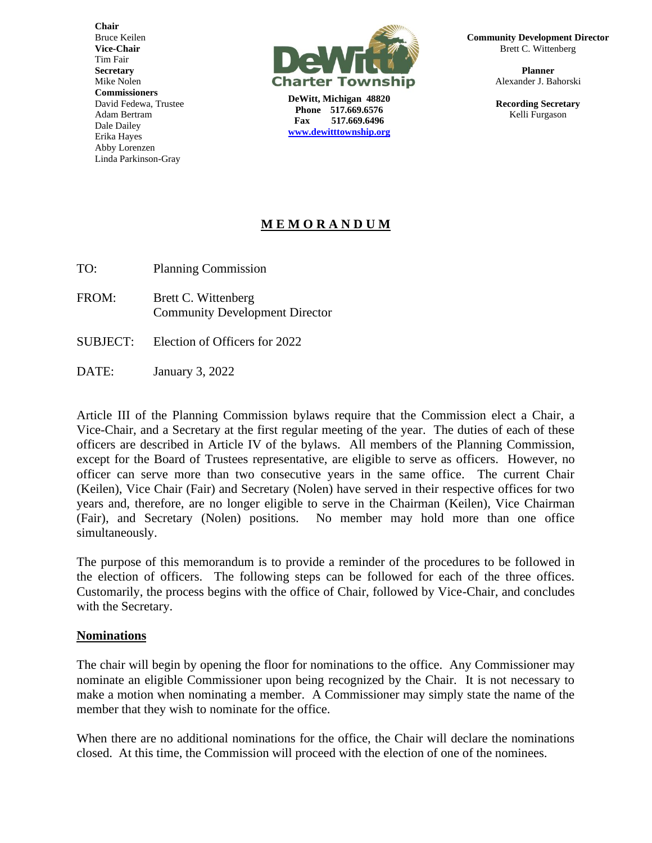**Chair** Bruce Keilen **Vice-Chair** Tim Fair **Secretary** Mike Nolen **Commissioners** David Fedewa, Trustee Adam Bertram Dale Dailey Erika Hayes Abby Lorenzen Linda Parkinson-Gray



**DeWitt, Michigan 48820 Phone 517.669.6576 Fax 517.669.6496 [www.dewitttownship.org](http://www.dewitttownship.org/)** **Community Development Director** Brett C. Wittenberg

> **Planner** Alexander J. Bahorski

> **Recording Secretary** Kelli Furgason

## **M E M O R A N D U M**

TO: Planning Commission

- FROM: Brett C. Wittenberg Community Development Director
- SUBJECT: Election of Officers for 2022
- DATE: January 3, 2022

Article III of the Planning Commission bylaws require that the Commission elect a Chair, a Vice-Chair, and a Secretary at the first regular meeting of the year. The duties of each of these officers are described in Article IV of the bylaws. All members of the Planning Commission, except for the Board of Trustees representative, are eligible to serve as officers. However, no officer can serve more than two consecutive years in the same office. The current Chair (Keilen), Vice Chair (Fair) and Secretary (Nolen) have served in their respective offices for two years and, therefore, are no longer eligible to serve in the Chairman (Keilen), Vice Chairman (Fair), and Secretary (Nolen) positions. No member may hold more than one office simultaneously.

The purpose of this memorandum is to provide a reminder of the procedures to be followed in the election of officers. The following steps can be followed for each of the three offices. Customarily, the process begins with the office of Chair, followed by Vice-Chair, and concludes with the Secretary.

## **Nominations**

The chair will begin by opening the floor for nominations to the office. Any Commissioner may nominate an eligible Commissioner upon being recognized by the Chair. It is not necessary to make a motion when nominating a member. A Commissioner may simply state the name of the member that they wish to nominate for the office.

When there are no additional nominations for the office, the Chair will declare the nominations closed. At this time, the Commission will proceed with the election of one of the nominees.